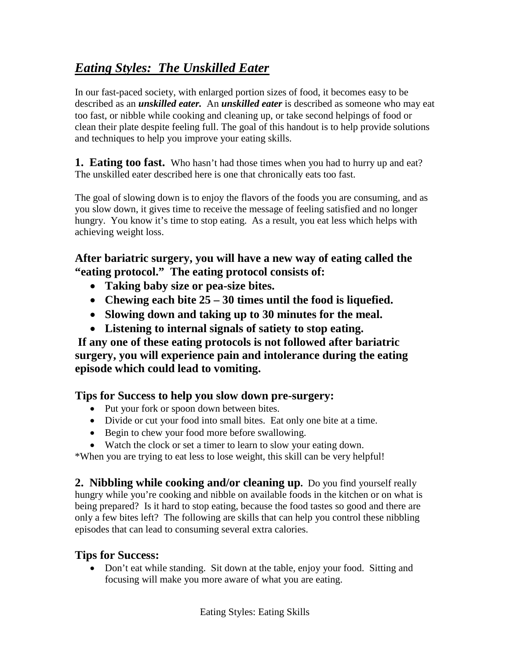# *Eating Styles: The Unskilled Eater*

In our fast-paced society, with enlarged portion sizes of food, it becomes easy to be described as an *unskilled eater.* An *unskilled eater* is described as someone who may eat too fast, or nibble while cooking and cleaning up, or take second helpings of food or clean their plate despite feeling full. The goal of this handout is to help provide solutions and techniques to help you improve your eating skills.

**1. Eating too fast.** Who hasn't had those times when you had to hurry up and eat? The unskilled eater described here is one that chronically eats too fast.

The goal of slowing down is to enjoy the flavors of the foods you are consuming, and as you slow down, it gives time to receive the message of feeling satisfied and no longer hungry. You know it's time to stop eating. As a result, you eat less which helps with achieving weight loss.

## **After bariatric surgery, you will have a new way of eating called the "eating protocol." The eating protocol consists of:**

- **Taking baby size or pea-size bites.**
- **Chewing each bite 25 – 30 times until the food is liquefied.**
- **Slowing down and taking up to 30 minutes for the meal.**
- **Listening to internal signals of satiety to stop eating.**

**If any one of these eating protocols is not followed after bariatric surgery, you will experience pain and intolerance during the eating episode which could lead to vomiting.**

# **Tips for Success to help you slow down pre-surgery:**

- Put your fork or spoon down between bites.
- Divide or cut your food into small bites. Eat only one bite at a time.
- Begin to chew your food more before swallowing.
- Watch the clock or set a timer to learn to slow your eating down.

\*When you are trying to eat less to lose weight, this skill can be very helpful!

**2. Nibbling while cooking and/or cleaning up.** Do you find yourself really hungry while you're cooking and nibble on available foods in the kitchen or on what is being prepared? Is it hard to stop eating, because the food tastes so good and there are only a few bites left? The following are skills that can help you control these nibbling episodes that can lead to consuming several extra calories.

# **Tips for Success:**

• Don't eat while standing. Sit down at the table, enjoy your food. Sitting and focusing will make you more aware of what you are eating.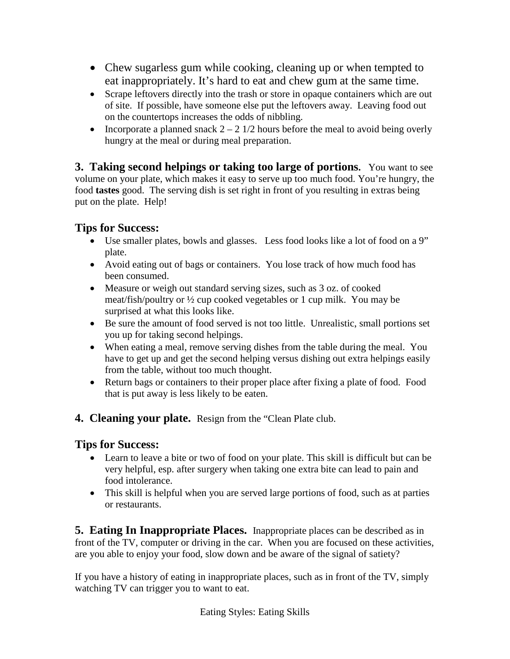- Chew sugarless gum while cooking, cleaning up or when tempted to eat inappropriately. It's hard to eat and chew gum at the same time.
- Scrape leftovers directly into the trash or store in opaque containers which are out of site. If possible, have someone else put the leftovers away. Leaving food out on the countertops increases the odds of nibbling.
- Incorporate a planned snack  $2 2 \frac{1}{2}$  hours before the meal to avoid being overly hungry at the meal or during meal preparation.

**3. Taking second helpings or taking too large of portions.** You want to see volume on your plate, which makes it easy to serve up too much food. You're hungry, the food **tastes** good. The serving dish is set right in front of you resulting in extras being put on the plate. Help!

### **Tips for Success:**

- Use smaller plates, bowls and glasses. Less food looks like a lot of food on a 9" plate.
- Avoid eating out of bags or containers. You lose track of how much food has been consumed.
- Measure or weigh out standard serving sizes, such as 3 oz. of cooked meat/fish/poultry or ½ cup cooked vegetables or 1 cup milk. You may be surprised at what this looks like.
- Be sure the amount of food served is not too little. Unrealistic, small portions set you up for taking second helpings.
- When eating a meal, remove serving dishes from the table during the meal. You have to get up and get the second helping versus dishing out extra helpings easily from the table, without too much thought.
- Return bags or containers to their proper place after fixing a plate of food. Food that is put away is less likely to be eaten.
- **4. Cleaning your plate.** Resign from the "Clean Plate club.

#### **Tips for Success:**

- Learn to leave a bite or two of food on your plate. This skill is difficult but can be very helpful, esp. after surgery when taking one extra bite can lead to pain and food intolerance.
- This skill is helpful when you are served large portions of food, such as at parties or restaurants.

**5. Eating In Inappropriate Places.** Inappropriate places can be described as in front of the TV, computer or driving in the car. When you are focused on these activities, are you able to enjoy your food, slow down and be aware of the signal of satiety?

If you have a history of eating in inappropriate places, such as in front of the TV, simply watching TV can trigger you to want to eat.

Eating Styles: Eating Skills